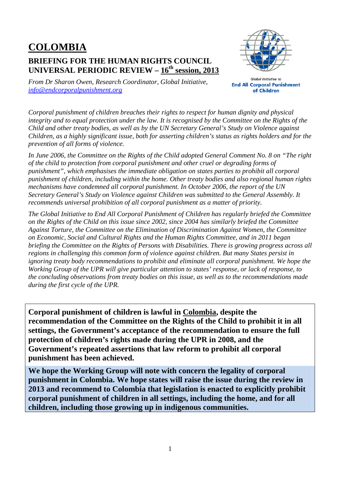## **COLOMBIA BRIEFING FOR THE HUMAN RIGHTS COUNCIL UNIVERSAL PERIODIC REVIEW – 16th session, 2013**



*From Dr Sharon Owen, Research Coordinator, Global Initiative, info@endcorporalpunishment.org*

Global Initiative to **End All Corporal Punishment** of Children

*Corporal punishment of children breaches their rights to respect for human dignity and physical integrity and to equal protection under the law. It is recognised by the Committee on the Rights of the Child and other treaty bodies, as well as by the UN Secretary General's Study on Violence against Children, as a highly significant issue, both for asserting children's status as rights holders and for the prevention of all forms of violence.* 

*In June 2006, the Committee on the Rights of the Child adopted General Comment No. 8 on "The right of the child to protection from corporal punishment and other cruel or degrading forms of punishment", which emphasises the immediate obligation on states parties to prohibit all corporal punishment of children, including within the home. Other treaty bodies and also regional human rights mechanisms have condemned all corporal punishment. In October 2006, the report of the UN Secretary General's Study on Violence against Children was submitted to the General Assembly. It recommends universal prohibition of all corporal punishment as a matter of priority.* 

*The Global Initiative to End All Corporal Punishment of Children has regularly briefed the Committee on the Rights of the Child on this issue since 2002, since 2004 has similarly briefed the Committee Against Torture, the Committee on the Elimination of Discrimination Against Women, the Committee on Economic, Social and Cultural Rights and the Human Rights Committee, and in 2011 began briefing the Committee on the Rights of Persons with Disabilities. There is growing progress across all regions in challenging this common form of violence against children. But many States persist in ignoring treaty body recommendations to prohibit and eliminate all corporal punishment. We hope the Working Group of the UPR will give particular attention to states' response, or lack of response, to the concluding observations from treaty bodies on this issue, as well as to the recommendations made during the first cycle of the UPR.* 

**Corporal punishment of children is lawful in Colombia, despite the recommendation of the Committee on the Rights of the Child to prohibit it in all settings, the Government's acceptance of the recommendation to ensure the full protection of children's rights made during the UPR in 2008, and the Government's repeated assertions that law reform to prohibit all corporal punishment has been achieved.** 

**We hope the Working Group will note with concern the legality of corporal punishment in Colombia. We hope states will raise the issue during the review in 2013 and recommend to Colombia that legislation is enacted to explicitly prohibit corporal punishment of children in all settings, including the home, and for all children, including those growing up in indigenous communities.**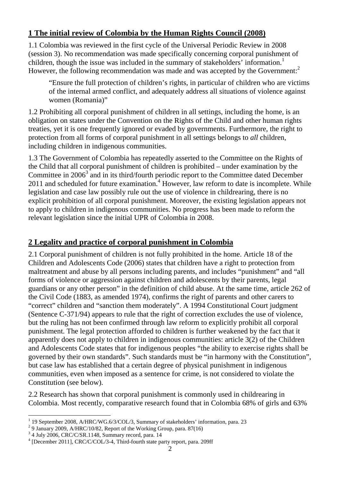## **1 The initial review of Colombia by the Human Rights Council (2008)**

1.1 Colombia was reviewed in the first cycle of the Universal Periodic Review in 2008 (session 3). No recommendation was made specifically concerning corporal punishment of children, though the issue was included in the summary of stakeholders' information.<sup>1</sup> However, the following recommendation was made and was accepted by the Government: $<sup>2</sup>$ </sup>

"Ensure the full protection of children's rights, in particular of children who are victims of the internal armed conflict, and adequately address all situations of violence against women (Romania)"

1.2 Prohibiting all corporal punishment of children in all settings, including the home, is an obligation on states under the Convention on the Rights of the Child and other human rights treaties, yet it is one frequently ignored or evaded by governments. Furthermore, the right to protection from all forms of corporal punishment in all settings belongs to *all* children, including children in indigenous communities.

1.3 The Government of Colombia has repeatedly asserted to the Committee on the Rights of the Child that all corporal punishment of children is prohibited – under examination by the Committee in  $2006^3$  and in its third/fourth periodic report to the Committee dated December 2011 and scheduled for future examination. $4$  However, law reform to date is incomplete. While legislation and case law possibly rule out the use of violence in childrearing, there is no explicit prohibition of all corporal punishment. Moreover, the existing legislation appears not to apply to children in indigenous communities. No progress has been made to reform the relevant legislation since the initial UPR of Colombia in 2008.

## **2 Legality and practice of corporal punishment in Colombia**

2.1 Corporal punishment of children is not fully prohibited in the home. Article 18 of the Children and Adolescents Code (2006) states that children have a right to protection from maltreatment and abuse by all persons including parents, and includes "punishment" and "all forms of violence or aggression against children and adolescents by their parents, legal guardians or any other person" in the definition of child abuse. At the same time, article 262 of the Civil Code (1883, as amended 1974), confirms the right of parents and other carers to "correct" children and "sanction them moderately". A 1994 Constitutional Court judgment (Sentence C-371/94) appears to rule that the right of correction excludes the use of violence, but the ruling has not been confirmed through law reform to explicitly prohibit all corporal punishment. The legal protection afforded to children is further weakened by the fact that it apparently does not apply to children in indigenous communities: article 3(2) of the Children and Adolescents Code states that for indigenous peoples "the ability to exercise rights shall be governed by their own standards". Such standards must be "in harmony with the Constitution", but case law has established that a certain degree of physical punishment in indigenous communities, even when imposed as a sentence for crime, is not considered to violate the Constitution (see below).

2.2 Research has shown that corporal punishment is commonly used in childrearing in Colombia. Most recently, comparative research found that in Colombia 68% of girls and 63%

 $\overline{a}$ 1 19 September 2008, A/HRC/WG.6/3/COL/3, Summary of stakeholders' information, para. 23

 $^{2}$  9 January 2009, A/HRC/10/82, Report of the Working Group, para. 87(16)

<sup>3</sup> 4 July 2006, CRC/C/SR.1148, Summary record, para. 14

<sup>&</sup>lt;sup>4</sup> [December 2011], CRC/C/COL/3-4, Third-fourth state party report, para. 209ff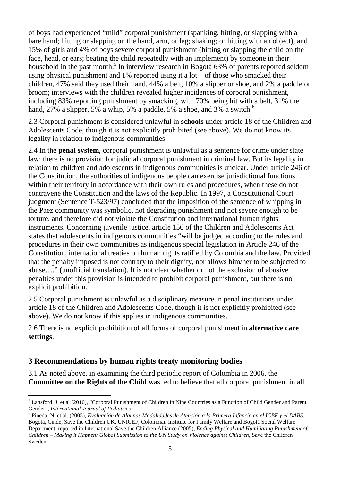of boys had experienced "mild" corporal punishment (spanking, hitting, or slapping with a bare hand; hitting or slapping on the hand, arm, or leg; shaking; or hitting with an object), and 15% of girls and 4% of boys severe corporal punishment (hitting or slapping the child on the face, head, or ears; beating the child repeatedly with an implement) by someone in their household in the past month.<sup>5</sup> In interview research in Bogotá 63% of parents reported seldom using physical punishment and 1% reported using it a lot – of those who smacked their children, 47% said they used their hand, 44% a belt, 10% a slipper or shoe, and 2% a paddle or broom; interviews with the children revealed higher incidences of corporal punishment, including 83% reporting punishment by smacking, with 70% being hit with a belt, 31% the hand, 27% a slipper, 5% a whip, 5% a paddle, 5% a shoe, and 3% a switch.<sup>6</sup>

2.3 Corporal punishment is considered unlawful in **schools** under article 18 of the Children and Adolescents Code, though it is not explicitly prohibited (see above). We do not know its legality in relation to indigenous communities.

2.4 In the **penal system**, corporal punishment is unlawful as a sentence for crime under state law: there is no provision for judicial corporal punishment in criminal law. But its legality in relation to children and adolescents in indigenous communities is unclear. Under article 246 of the Constitution, the authorities of indigenous people can exercise jurisdictional functions within their territory in accordance with their own rules and procedures, when these do not contravene the Constitution and the laws of the Republic. In 1997, a Constitutional Court judgment (Sentence T-523/97) concluded that the imposition of the sentence of whipping in the Paez community was symbolic, not degrading punishment and not severe enough to be torture, and therefore did not violate the Constitution and international human rights instruments. Concerning juvenile justice, article 156 of the Children and Adolescents Act states that adolescents in indigenous communities "will be judged according to the rules and procedures in their own communities as indigenous special legislation in Article 246 of the Constitution, international treaties on human rights ratified by Colombia and the law. Provided that the penalty imposed is not contrary to their dignity, nor allows him/her to be subjected to abuse…." (unofficial translation). It is not clear whether or not the exclusion of abusive penalties under this provision is intended to prohibit corporal punishment, but there is no explicit prohibition.

2.5 Corporal punishment is unlawful as a disciplinary measure in penal institutions under article 18 of the Children and Adolescents Code, though it is not explicitly prohibited (see above). We do not know if this applies in indigenous communities.

2.6 There is no explicit prohibition of all forms of corporal punishment in **alternative care settings**.

## **3 Recommendations by human rights treaty monitoring bodies**

 $\overline{a}$ 

3.1 As noted above, in examining the third periodic report of Colombia in 2006, the **Committee on the Rights of the Child** was led to believe that all corporal punishment in all

<sup>&</sup>lt;sup>5</sup> Lansford, J. et al (2010), "Corporal Punishment of Children in Nine Countries as a Function of Child Gender and Parent Gender", *International Journal of Pediatrics*

<sup>6</sup> Pineda, N. et al. (2005), *Evaluación de Algunas Modalidades de Atención a la Primera Infancia en el ICBF y el DABS*, Bogotá, Cinde, Save the Children UK, UNICEF, Colombian Institute for Family Welfare and Bogotá Social Welfare Department, reported in International Save the Children Alliance (2005), *Ending Physical and Humiliating Punishment of Children – Making it Happen: Global Submission to the UN Study on Violence against Children*, Save the Children Sweden